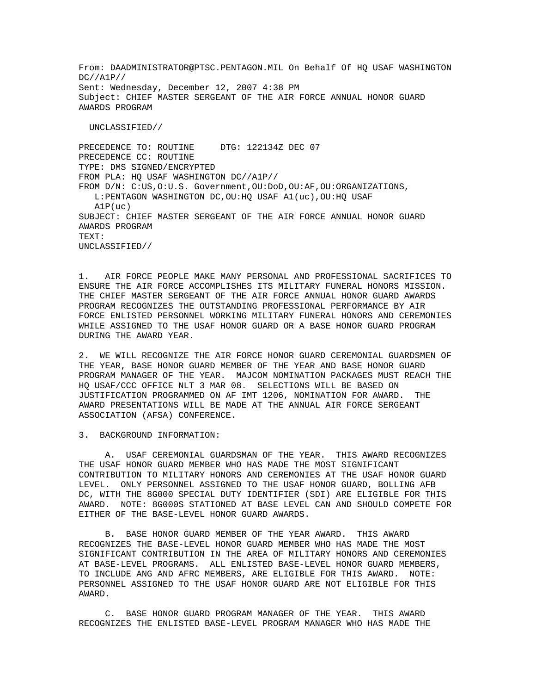From: DAADMINISTRATOR@PTSC.PENTAGON.MIL On Behalf Of HQ USAF WASHINGTON DC//A1P// Sent: Wednesday, December 12, 2007 4:38 PM Subject: CHIEF MASTER SERGEANT OF THE AIR FORCE ANNUAL HONOR GUARD AWARDS PROGRAM

UNCLASSIFIED//

PRECEDENCE TO: ROUTINE DTG: 122134Z DEC 07 PRECEDENCE CC: ROUTINE TYPE: DMS SIGNED/ENCRYPTED FROM PLA: HQ USAF WASHINGTON DC//A1P// FROM D/N: C:US,O:U.S. Government,OU:DoD,OU:AF,OU:ORGANIZATIONS, L:PENTAGON WASHINGTON DC,OU:HQ USAF A1(uc),OU:HQ USAF  $A1P(11C)$ SUBJECT: CHIEF MASTER SERGEANT OF THE AIR FORCE ANNUAL HONOR GUARD AWARDS PROGRAM TEXT: UNCLASSIFIED//

1. AIR FORCE PEOPLE MAKE MANY PERSONAL AND PROFESSIONAL SACRIFICES TO ENSURE THE AIR FORCE ACCOMPLISHES ITS MILITARY FUNERAL HONORS MISSION. THE CHIEF MASTER SERGEANT OF THE AIR FORCE ANNUAL HONOR GUARD AWARDS PROGRAM RECOGNIZES THE OUTSTANDING PROFESSIONAL PERFORMANCE BY AIR FORCE ENLISTED PERSONNEL WORKING MILITARY FUNERAL HONORS AND CEREMONIES WHILE ASSIGNED TO THE USAF HONOR GUARD OR A BASE HONOR GUARD PROGRAM DURING THE AWARD YEAR.

2. WE WILL RECOGNIZE THE AIR FORCE HONOR GUARD CEREMONIAL GUARDSMEN OF THE YEAR, BASE HONOR GUARD MEMBER OF THE YEAR AND BASE HONOR GUARD PROGRAM MANAGER OF THE YEAR. MAJCOM NOMINATION PACKAGES MUST REACH THE HQ USAF/CCC OFFICE NLT 3 MAR 08. SELECTIONS WILL BE BASED ON JUSTIFICATION PROGRAMMED ON AF IMT 1206, NOMINATION FOR AWARD. THE AWARD PRESENTATIONS WILL BE MADE AT THE ANNUAL AIR FORCE SERGEANT ASSOCIATION (AFSA) CONFERENCE.

3. BACKGROUND INFORMATION:

 A. USAF CEREMONIAL GUARDSMAN OF THE YEAR. THIS AWARD RECOGNIZES THE USAF HONOR GUARD MEMBER WHO HAS MADE THE MOST SIGNIFICANT CONTRIBUTION TO MILITARY HONORS AND CEREMONIES AT THE USAF HONOR GUARD LEVEL. ONLY PERSONNEL ASSIGNED TO THE USAF HONOR GUARD, BOLLING AFB DC, WITH THE 8G000 SPECIAL DUTY IDENTIFIER (SDI) ARE ELIGIBLE FOR THIS AWARD. NOTE: 8G000S STATIONED AT BASE LEVEL CAN AND SHOULD COMPETE FOR EITHER OF THE BASE-LEVEL HONOR GUARD AWARDS.

 B. BASE HONOR GUARD MEMBER OF THE YEAR AWARD. THIS AWARD RECOGNIZES THE BASE-LEVEL HONOR GUARD MEMBER WHO HAS MADE THE MOST SIGNIFICANT CONTRIBUTION IN THE AREA OF MILITARY HONORS AND CEREMONIES AT BASE-LEVEL PROGRAMS. ALL ENLISTED BASE-LEVEL HONOR GUARD MEMBERS, TO INCLUDE ANG AND AFRC MEMBERS, ARE ELIGIBLE FOR THIS AWARD. NOTE: PERSONNEL ASSIGNED TO THE USAF HONOR GUARD ARE NOT ELIGIBLE FOR THIS AWARD.

 C. BASE HONOR GUARD PROGRAM MANAGER OF THE YEAR. THIS AWARD RECOGNIZES THE ENLISTED BASE-LEVEL PROGRAM MANAGER WHO HAS MADE THE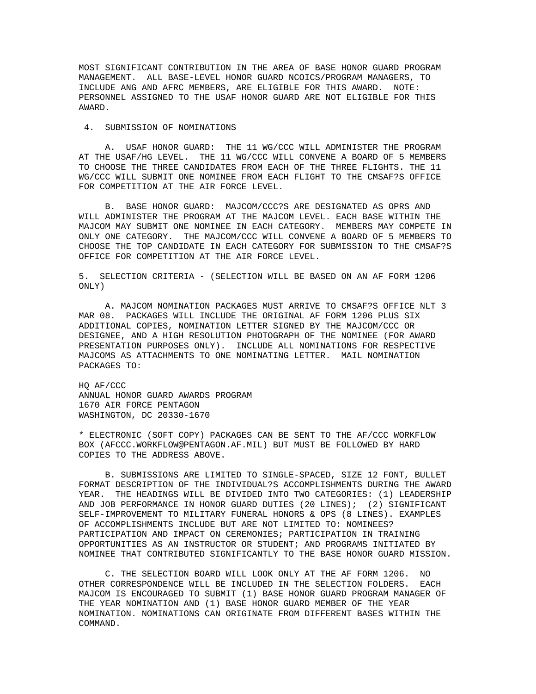MOST SIGNIFICANT CONTRIBUTION IN THE AREA OF BASE HONOR GUARD PROGRAM MANAGEMENT. ALL BASE-LEVEL HONOR GUARD NCOICS/PROGRAM MANAGERS, TO INCLUDE ANG AND AFRC MEMBERS, ARE ELIGIBLE FOR THIS AWARD. NOTE: PERSONNEL ASSIGNED TO THE USAF HONOR GUARD ARE NOT ELIGIBLE FOR THIS AWARD.

## 4. SUBMISSION OF NOMINATIONS

 A. USAF HONOR GUARD: THE 11 WG/CCC WILL ADMINISTER THE PROGRAM AT THE USAF/HG LEVEL. THE 11 WG/CCC WILL CONVENE A BOARD OF 5 MEMBERS TO CHOOSE THE THREE CANDIDATES FROM EACH OF THE THREE FLIGHTS. THE 11 WG/CCC WILL SUBMIT ONE NOMINEE FROM EACH FLIGHT TO THE CMSAF?S OFFICE FOR COMPETITION AT THE AIR FORCE LEVEL.

 B. BASE HONOR GUARD: MAJCOM/CCC?S ARE DESIGNATED AS OPRS AND WILL ADMINISTER THE PROGRAM AT THE MAJCOM LEVEL. EACH BASE WITHIN THE MAJCOM MAY SUBMIT ONE NOMINEE IN EACH CATEGORY. MEMBERS MAY COMPETE IN ONLY ONE CATEGORY. THE MAJCOM/CCC WILL CONVENE A BOARD OF 5 MEMBERS TO CHOOSE THE TOP CANDIDATE IN EACH CATEGORY FOR SUBMISSION TO THE CMSAF?S OFFICE FOR COMPETITION AT THE AIR FORCE LEVEL.

5. SELECTION CRITERIA - (SELECTION WILL BE BASED ON AN AF FORM 1206 ONLY)

 A. MAJCOM NOMINATION PACKAGES MUST ARRIVE TO CMSAF?S OFFICE NLT 3 MAR 08. PACKAGES WILL INCLUDE THE ORIGINAL AF FORM 1206 PLUS SIX ADDITIONAL COPIES, NOMINATION LETTER SIGNED BY THE MAJCOM/CCC OR DESIGNEE, AND A HIGH RESOLUTION PHOTOGRAPH OF THE NOMINEE (FOR AWARD PRESENTATION PURPOSES ONLY). INCLUDE ALL NOMINATIONS FOR RESPECTIVE MAJCOMS AS ATTACHMENTS TO ONE NOMINATING LETTER. MAIL NOMINATION PACKAGES TO:

HQ AF/CCC ANNUAL HONOR GUARD AWARDS PROGRAM 1670 AIR FORCE PENTAGON WASHINGTON, DC 20330-1670

\* ELECTRONIC (SOFT COPY) PACKAGES CAN BE SENT TO THE AF/CCC WORKFLOW BOX (AFCCC.WORKFLOW@PENTAGON.AF.MIL) BUT MUST BE FOLLOWED BY HARD COPIES TO THE ADDRESS ABOVE.

 B. SUBMISSIONS ARE LIMITED TO SINGLE-SPACED, SIZE 12 FONT, BULLET FORMAT DESCRIPTION OF THE INDIVIDUAL?S ACCOMPLISHMENTS DURING THE AWARD YEAR. THE HEADINGS WILL BE DIVIDED INTO TWO CATEGORIES: (1) LEADERSHIP AND JOB PERFORMANCE IN HONOR GUARD DUTIES (20 LINES); (2) SIGNIFICANT SELF-IMPROVEMENT TO MILITARY FUNERAL HONORS & OPS (8 LINES). EXAMPLES OF ACCOMPLISHMENTS INCLUDE BUT ARE NOT LIMITED TO: NOMINEES? PARTICIPATION AND IMPACT ON CEREMONIES; PARTICIPATION IN TRAINING OPPORTUNITIES AS AN INSTRUCTOR OR STUDENT; AND PROGRAMS INITIATED BY NOMINEE THAT CONTRIBUTED SIGNIFICANTLY TO THE BASE HONOR GUARD MISSION.

 C. THE SELECTION BOARD WILL LOOK ONLY AT THE AF FORM 1206. NO OTHER CORRESPONDENCE WILL BE INCLUDED IN THE SELECTION FOLDERS. EACH MAJCOM IS ENCOURAGED TO SUBMIT (1) BASE HONOR GUARD PROGRAM MANAGER OF THE YEAR NOMINATION AND (1) BASE HONOR GUARD MEMBER OF THE YEAR NOMINATION. NOMINATIONS CAN ORIGINATE FROM DIFFERENT BASES WITHIN THE COMMAND.